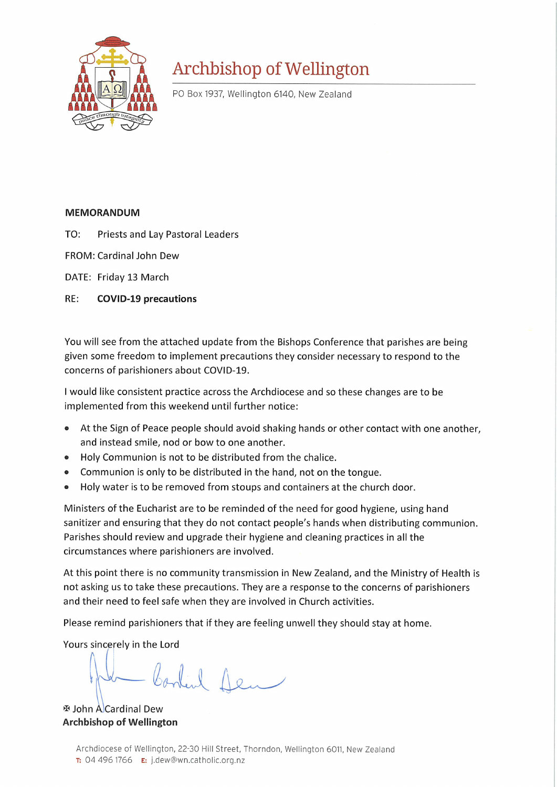

## Archbishop of Wellington

PO Box 1937, Wellington 6140, New Zealand

## **MEMORANDUM**

- TO: **Priests and Lay Pastoral Leaders**
- FROM: Cardinal John Dew

DATE: Friday 13 March

RE: **COVID-19 precautions** 

You will see from the attached update from the Bishops Conference that parishes are being given some freedom to implement precautions they consider necessary to respond to the concerns of parishioners about COVID-19.

I would like consistent practice across the Archdiocese and so these changes are to be implemented from this weekend until further notice:

- At the Sign of Peace people should avoid shaking hands or other contact with one another,  $\bullet$ and instead smile, nod or bow to one another.
- Holy Communion is not to be distributed from the chalice.
- Communion is only to be distributed in the hand, not on the tongue.
- Holy water is to be removed from stoups and containers at the church door.  $\bullet$

Ministers of the Eucharist are to be reminded of the need for good hygiene, using hand sanitizer and ensuring that they do not contact people's hands when distributing communion. Parishes should review and upgrade their hygiene and cleaning practices in all the circumstances where parishioners are involved.

At this point there is no community transmission in New Zealand, and the Ministry of Health is not asking us to take these precautions. They are a response to the concerns of parishioners and their need to feel safe when they are involved in Church activities.

Please remind parishioners that if they are feeling unwell they should stay at home.

Yours sincerely in the Lord

- Content 1em

 $\overline{\mathbf{v}}$  **John A Cardinal Dew Archbishop of Wellington**